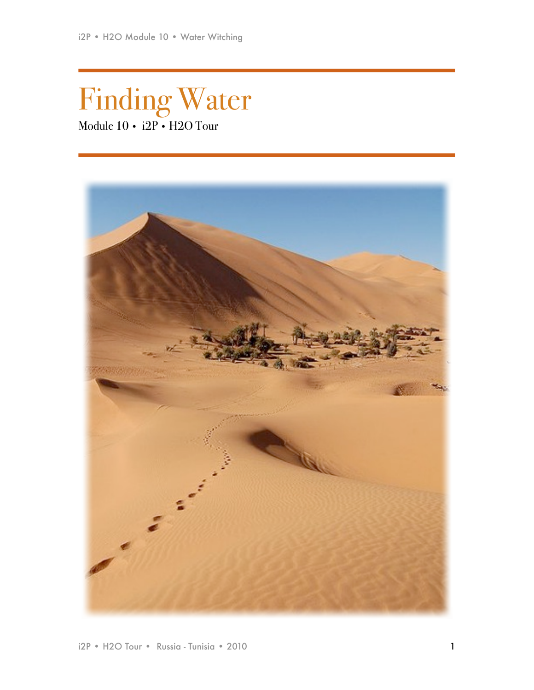# Finding Water Module 10 • i2P • H2O Tour

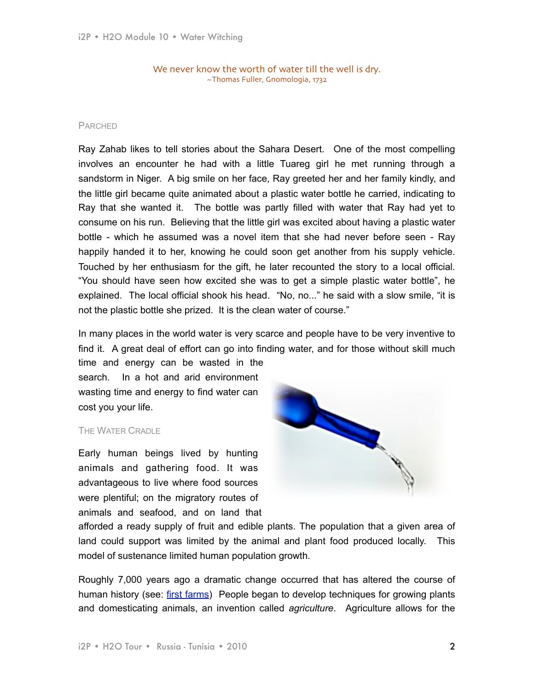We never know the worth of water till the well is dry. ~Thomas Fuller, Gnomologia, 1732

# PARCHED

Ray Zahab likes to tell stories about the Sahara Desert. One of the most compelling involves an encounter he had with a little Tuareg girl he met running through a sandstorm in Niger. A big smile on her face, Ray greeted her and her family kindly, and the little girl became quite animated about a plastic water bottle he carried, indicating to Ray that she wanted it. The bottle was partly filled with water that Ray had yet to consume on his run. Believing that the little girl was excited about having a plastic water bottle - which he assumed was a novel item that she had never before seen - Ray happily handed it to her, knowing he could soon get another from his supply vehicle. Touched by her enthusiasm for the gift, he later recounted the story to a local official. "You should have seen how excited she was to get a simple plastic water bottle", he explained. The local official shook his head. "No, no..." he said with a slow smile, "it is not the plastic bottle she prized. It is the clean water of course."

In many places in the world water is very scarce and people have to be very inventive to find it. A great deal of effort can go into finding water, and for those without skill much time and energy can be wasted in the

search. In a hot and arid environment wasting time and energy to find water can cost you your life.

# THE WATER CRADLE

Early human beings lived by hunting animals and gathering food. It was advantageous to live where food sources were plentiful; on the migratory routes of animals and seafood, and on land that



afforded a ready supply of fruit and edible plants. The population that a given area of land could support was limited by the animal and plant food produced locally. This model of sustenance limited human population growth.

Roughly 7,000 years ago a dramatic change occurred that has altered the course of human history (see: [first farms\)](http://news.nationalgeographic.com/news/2007/06/070628-first-farming_2.html) People began to develop techniques for growing plants and domesticating animals, an invention called *agriculture*. Agriculture allows for the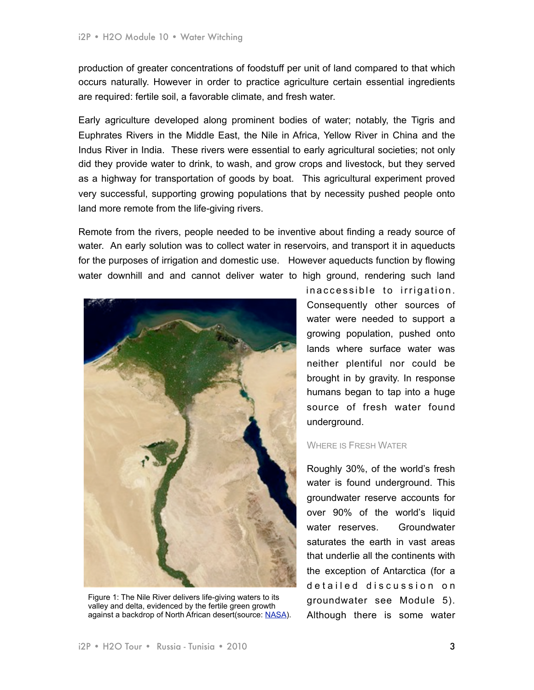production of greater concentrations of foodstuff per unit of land compared to that which occurs naturally. However in order to practice agriculture certain essential ingredients are required: fertile soil, a favorable climate, and fresh water.

Early agriculture developed along prominent bodies of water; notably, the Tigris and Euphrates Rivers in the Middle East, the Nile in Africa, Yellow River in China and the Indus River in India. These rivers were essential to early agricultural societies; not only did they provide water to drink, to wash, and grow crops and livestock, but they served as a highway for transportation of goods by boat. This agricultural experiment proved very successful, supporting growing populations that by necessity pushed people onto land more remote from the life-giving rivers.

Remote from the rivers, people needed to be inventive about finding a ready source of water. An early solution was to collect water in reservoirs, and transport it in aqueducts for the purposes of irrigation and domestic use. However aqueducts function by flowing water downhill and and cannot deliver water to high ground, rendering such land



Figure 1: The Nile River delivers life-giving waters to its valley and delta, evidenced by the fertile green growth against a backdrop of North African desert(source: [NASA\)](http://upload.wikimedia.org/wikipedia/commons/d/de/Nile_River_and_delta_from_orbit.jpg).

in a ccessible to irrigation. Consequently other sources of water were needed to support a growing population, pushed onto lands where surface water was neither plentiful nor could be brought in by gravity. In response humans began to tap into a huge source of fresh water found underground.

# WHERE IS FRESH WATER

Roughly 30%, of the world's fresh water is found underground. This groundwater reserve accounts for over 90% of the world's liquid water reserves. Groundwater saturates the earth in vast areas that underlie all the continents with the exception of Antarctica (for a detailed discussion on groundwater see Module 5). Although there is some water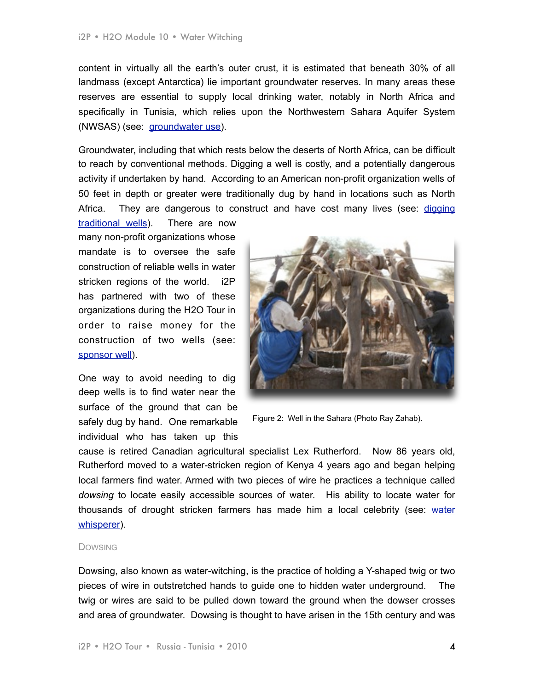content in virtually all the earth's outer crust, it is estimated that beneath 30% of all landmass (except Antarctica) lie important groundwater reserves. In many areas these reserves are essential to supply local drinking water, notably in North Africa and specifically in Tunisia, which relies upon the Northwestern Sahara Aquifer System (NWSAS) (see: [groundwater use](http://www.yearofplanetearth.org/content/downloads/Groundwater.pdf)).

Groundwater, including that which rests below the deserts of North Africa, can be difficult to reach by conventional methods. Digging a well is costly, and a potentially dangerous activity if undertaken by hand. According to an American non-profit organization wells of 50 feet in depth or greater were traditionally dug by hand in locations such as North Africa. They are dangerous to construct and have cost many lives (see: digging

[traditional wells\)](http://thewaterproject.org/digging-wells-in-africa-and-india-how-it-works.asp). There are now many non-profit organizations whose mandate is to oversee the safe construction of reliable wells in water stricken regions of the world. i2P has partnered with two of these organizations during the H2O Tour in order to raise money for the construction of two wells (see: [sponsor well](http://www.impossible2possible.com/siberia/?s=extraordinary)).

One way to avoid needing to dig deep wells is to find water near the surface of the ground that can be safely dug by hand. One remarkable individual who has taken up this



Figure 2: Well in the Sahara (Photo Ray Zahab).

cause is retired Canadian agricultural specialist Lex Rutherford. Now 86 years old, Rutherford moved to a water-stricken region of Kenya 4 years ago and began helping local farmers find water. Armed with two pieces of wire he practices a technique called *dowsing* to locate easily accessible sources of water. His ability to locate water for thousands of drought stricken farmers has made him a local celebrity (see: [water](http://www.cbc.ca/world/story/2009/09/23/f-kenya-lex-rutherford-water.html)  [whisperer\)](http://www.cbc.ca/world/story/2009/09/23/f-kenya-lex-rutherford-water.html).

#### **DOWSING**

Dowsing, also known as water-witching, is the practice of holding a Y-shaped twig or two pieces of wire in outstretched hands to guide one to hidden water underground. The twig or wires are said to be pulled down toward the ground when the dowser crosses and area of groundwater. Dowsing is thought to have arisen in the 15th century and was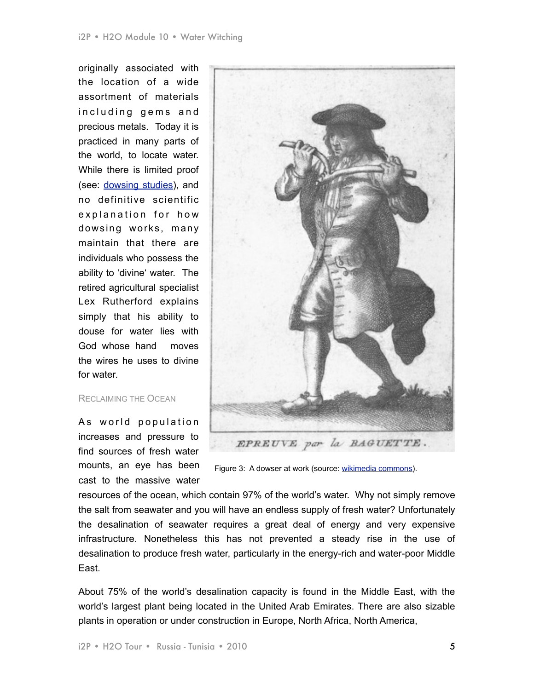originally associated with the location of a wide assortment of materials including gems and precious metals. Today it is practiced in many parts of the world, to locate water. While there is limited proof (see: [dowsing studies](http://www.popularmechanics.com/science/research/1281661.html)), and no definitive scientific explanation for how dowsing works, many maintain that there are individuals who possess the ability to 'divine' water. The retired agricultural specialist Lex Rutherford explains simply that his ability to douse for water lies with God whose hand moves the wires he uses to divine for water.

#### RECLAIMING THE OCEAN

As world population increases and pressure to find sources of fresh water mounts, an eye has been cast to the massive water



Figure 3: A dowser at work (source: [wikimedia commons\)](http://commons.wikimedia.org/wiki/File:18th_century_dowser.jpg).

resources of the ocean, which contain 97% of the world's water. Why not simply remove the salt from seawater and you will have an endless supply of fresh water? Unfortunately the desalination of seawater requires a great deal of energy and very expensive infrastructure. Nonetheless this has not prevented a steady rise in the use of desalination to produce fresh water, particularly in the energy-rich and water-poor Middle East.

About 75% of the world's desalination capacity is found in the Middle East, with the world's largest plant being located in the United Arab Emirates. There are also sizable plants in operation or under construction in Europe, North Africa, North America,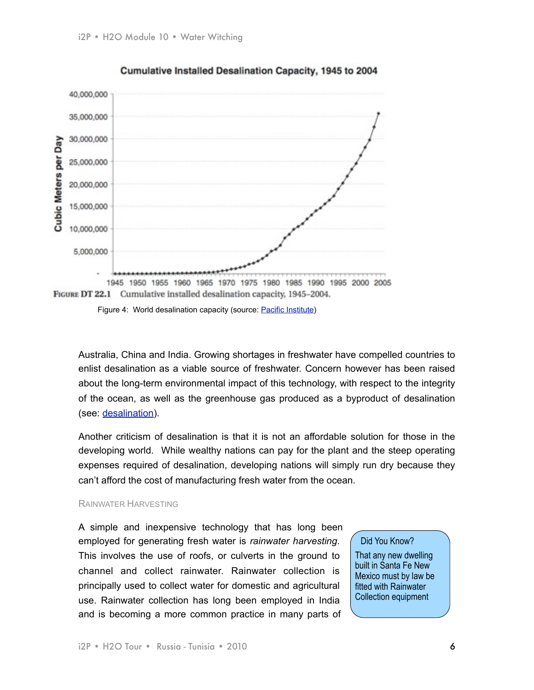

# Cumulative Installed Desalination Capacity, 1945 to 2004



Australia, China and India. Growing shortages in freshwater have compelled countries to enlist desalination as a viable source of freshwater. Concern however has been raised about the long-term environmental impact of this technology, with respect to the integrity of the ocean, as well as the greenhouse gas produced as a byproduct of desalination (see: [desalination](http://assets.panda.org/downloads/desalinationreportjune2007.pdf)).

Another criticism of desalination is that it is not an affordable solution for those in the developing world. While wealthy nations can pay for the plant and the steep operating expenses required of desalination, developing nations will simply run dry because they can't afford the cost of manufacturing fresh water from the ocean.

# RAINWATER HARVESTING

A simple and inexpensive technology that has long been employed for generating fresh water is *rainwater harvesting*. This involves the use of roofs, or culverts in the ground to channel and collect rainwater. Rainwater collection is principally used to collect water for domestic and agricultural use. Rainwater collection has long been employed in India and is becoming a more common practice in many parts of

# Did You Know?

That any new dwelling built in Santa Fe New Mexico must by law be fitted with Rainwater Collection equipment